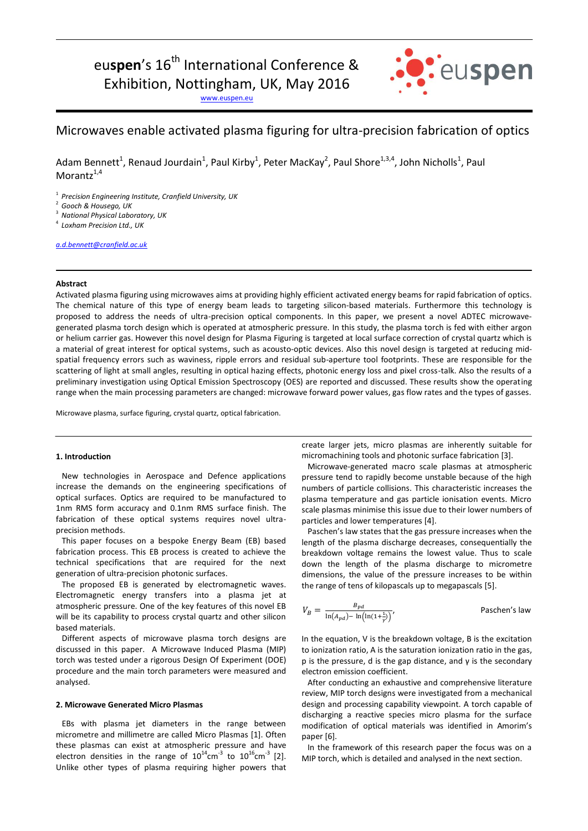# eu**spen**'s 16<sup>th</sup> International Conference & Exhibition, Nottingham, UK, May 2016

: euspen

[www.euspen.eu](http://www.euspen.eu/)

# Microwaves enable activated plasma figuring for ultra-precision fabrication of optics

Adam Bennett<sup>1</sup>, Renaud Jourdain<sup>1</sup>, Paul Kirby<sup>1</sup>, Peter MacKay<sup>2</sup>, Paul Shore<sup>1,3,4</sup>, John Nicholls<sup>1</sup>, Paul Morantz $1,4$ 

1 *Precision Engineering Institute, Cranfield University, UK*

2 *Gooch & Housego, UK*

3 *National Physical Laboratory, UK*

4 *Loxham Precision Ltd., UK*

*[a.d.bennett@cranfield.ac.uk](mailto:a.d.bennett@cranfield.ac.uk)*

## **Abstract**

Activated plasma figuring using microwaves aims at providing highly efficient activated energy beams for rapid fabrication of optics. The chemical nature of this type of energy beam leads to targeting silicon-based materials. Furthermore this technology is proposed to address the needs of ultra-precision optical components. In this paper, we present a novel ADTEC microwavegenerated plasma torch design which is operated at atmospheric pressure. In this study, the plasma torch is fed with either argon or helium carrier gas. However this novel design for Plasma Figuring is targeted at local surface correction of crystal quartz which is a material of great interest for optical systems, such as acousto-optic devices. Also this novel design is targeted at reducing midspatial frequency errors such as waviness, ripple errors and residual sub-aperture tool footprints. These are responsible for the scattering of light at small angles, resulting in optical hazing effects, photonic energy loss and pixel cross-talk. Also the results of a preliminary investigation using Optical Emission Spectroscopy (OES) are reported and discussed. These results show the operating range when the main processing parameters are changed: microwave forward power values, gas flow rates and the types of gasses.

Microwave plasma, surface figuring, crystal quartz, optical fabrication.

### **1. Introduction**

 New technologies in Aerospace and Defence applications increase the demands on the engineering specifications of optical surfaces. Optics are required to be manufactured to 1nm RMS form accuracy and 0.1nm RMS surface finish. The fabrication of these optical systems requires novel ultraprecision methods.

 This paper focuses on a bespoke Energy Beam (EB) based fabrication process. This EB process is created to achieve the technical specifications that are required for the next generation of ultra-precision photonic surfaces.

 The proposed EB is generated by electromagnetic waves. Electromagnetic energy transfers into a plasma jet at atmospheric pressure. One of the key features of this novel EB will be its capability to process crystal quartz and other silicon based materials.

 Different aspects of microwave plasma torch designs are discussed in this paper. A Microwave Induced Plasma (MIP) torch was tested under a rigorous Design Of Experiment (DOE) procedure and the main torch parameters were measured and analysed.

# **2. Microwave Generated Micro Plasmas**

 EBs with plasma jet diameters in the range between micrometre and millimetre are called Micro Plasmas [1]. Often these plasmas can exist at atmospheric pressure and have electron densities in the range of  $10^{14}$ cm<sup>-3</sup> to  $10^{16}$ cm<sup>-3</sup> [2]. Unlike other types of plasma requiring higher powers that create larger jets, micro plasmas are inherently suitable for micromachining tools and photonic surface fabrication [3].

 Microwave-generated macro scale plasmas at atmospheric pressure tend to rapidly become unstable because of the high numbers of particle collisions. This characteristic increases the plasma temperature and gas particle ionisation events. Micro scale plasmas minimise this issue due to their lower numbers of particles and lower temperatures [4].

 Paschen's law states that the gas pressure increases when the length of the plasma discharge decreases, consequentially the breakdown voltage remains the lowest value. Thus to scale down the length of the plasma discharge to micrometre dimensions, the value of the pressure increases to be within the range of tens of kilopascals up to megapascals [5].

$$
V_B = \frac{B_{pd}}{\ln(A_{pd}) - \ln(\ln(1+\frac{1}{\gamma}))},
$$
 Paschen's law

In the equation, V is the breakdown voltage, B is the excitation to ionization ratio, A is the saturation ionization ratio in the gas, p is the pressure, d is the gap distance, and  $\gamma$  is the secondary electron emission coefficient.

 After conducting an exhaustive and comprehensive literature review, MIP torch designs were investigated from a mechanical design and processing capability viewpoint. A torch capable of discharging a reactive species micro plasma for the surface modification of optical materials was identified in Amorim's paper [6].

 In the framework of this research paper the focus was on a MIP torch, which is detailed and analysed in the next section.